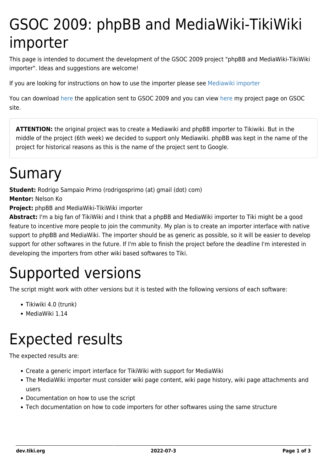# GSOC 2009: phpBB and MediaWiki-TikiWiki importer

This page is intended to document the development of the GSOC 2009 project "phpBB and MediaWiki-TikiWiki importer". Ideas and suggestions are welcome!

If you are looking for instructions on how to use the importer please see [Mediawiki importer](http://doc.tiki.org/Mediawiki%20importer)

You can download [here](https://dev.tiki.org/tiki-download_wiki_attachment.php?attId=38&download=y) the application sent to GSOC 2009 and you can view [here](http://socghop.appspot.com/student_project/show/google/gsoc2009/tikiwiki/t124024956814) my project page on GSOC site.

**ATTENTION:** the original project was to create a Mediawiki and phpBB importer to Tikiwiki. But in the middle of the project (6th week) we decided to support only Mediawiki. phpBB was kept in the name of the project for historical reasons as this is the name of the project sent to Google.

### Sumary

**Student:** Rodrigo Sampaio Primo (rodrigosprimo (at) gmail (dot) com)

**Mentor:** Nelson Ko

**Project:** phpBB and MediaWiki-TikiWiki importer

**Abstract:** I'm a big fan of TikiWiki and I think that a phpBB and MediaWiki importer to Tiki might be a good feature to incentive more people to join the community. My plan is to create an importer interface with native support to phpBB and MediaWiki. The importer should be as generic as possible, so it will be easier to develop support for other softwares in the future. If I'm able to finish the project before the deadline I'm interested in developing the importers from other wiki based softwares to Tiki.

# Supported versions

The script might work with other versions but it is tested with the following versions of each software:

- Tikiwiki 4.0 (trunk)
- MediaWiki 1.14

### Expected results

The expected results are:

- Create a generic import interface for TikiWiki with support for MediaWiki
- The MediaWiki importer must consider wiki page content, wiki page history, wiki page attachments and users
- Documentation on how to use the script
- Tech documentation on how to code importers for other softwares using the same structure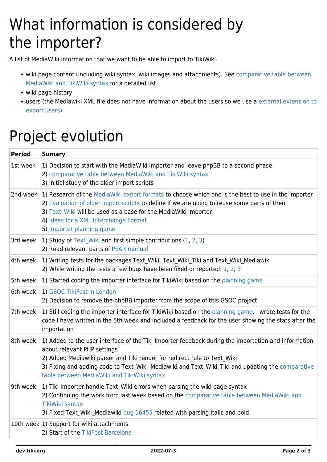# What information is considered by the importer?

A list of MediaWiki information that we want to be able to import to TikiWiki.

- wiki page content (including wiki syntax, wiki images and attachments). See [comparative table between](https://dev.tiki.org/GSOC-2009%3A-Comparative-table-between-MediaWiki-and-TikiWiki-syntax) [MediaWiki and TikiWiki syntax](https://dev.tiki.org/GSOC-2009%3A-Comparative-table-between-MediaWiki-and-TikiWiki-syntax) for a detailed list
- wiki page history
- users (the Mediawiki XML file does not have information about the users so we use a [external extension to](http://www.mediawiki.org/wiki/Extension:UserExport) [export users](http://www.mediawiki.org/wiki/Extension:UserExport))

## Project evolution

| <b>Period</b> | <b>Sumary</b>                                                                                                                                                                                                                                                                                                                                                     |
|---------------|-------------------------------------------------------------------------------------------------------------------------------------------------------------------------------------------------------------------------------------------------------------------------------------------------------------------------------------------------------------------|
| 1st week      | 1) Decision to start with the MediaWiki importer and leave phpBB to a second phase<br>2) comparative table between MediaWiki and TikiWiki syntax<br>3) Initial study of the older import scripts                                                                                                                                                                  |
|               | 2nd week 1) Research of the MediaWiki export formats to choose which one is the best to use in the importer<br>2) Evaluation of older import scripts to define if we are going to reuse some parts of then<br>3) Text Wiki will be used as a base for the MediaWiki importer<br>4) Ideas for a XML Interchange Format<br>5) Importer planning game                |
|               | 3rd week 1) Study of Text Wiki and first simple contributions (1, 2, 3)<br>2) Read relevant parts of PEAR manual                                                                                                                                                                                                                                                  |
|               | 4th week 1) Writing tests for the packages Text Wiki, Text Wiki Tiki and Text Wiki Mediawiki<br>2) While writing the tests a few bugs have been fixed or reported: 1, 2, 3                                                                                                                                                                                        |
|               | 5th week 1) Started coding the importer interface for TikiWiki based on the planning game                                                                                                                                                                                                                                                                         |
|               | 6th week 1) GSOC TikiFest in London<br>2) Decision to remove the phpBB importer from the scope of this GSOC project                                                                                                                                                                                                                                               |
|               | 7th week 1) Still coding the importer interface for TikiWiki based on the planning game. I wrote tests for the<br>code I have written in the 5th week and included a feedback for the user showing the stats after the<br>importation                                                                                                                             |
| 8th week      | 1) Added to the user interface of the Tiki Importer feedback during the importation and information<br>about relevant PHP settings<br>2) Added Mediawiki parser and Tiki render for redirect rule to Text Wiki<br>3) Fixing and adding code to Text Wiki Mediawiki and Text Wiki Tiki and updating the comparative<br>table between MediaWiki and TikiWiki syntax |
|               | 9th week 1) Tiki Importer handle Text Wiki errors when parsing the wiki page syntax<br>2) Continuing the work from last week based on the comparative table between MediaWiki and<br>TikiWiki syntax<br>3) Fixed Text Wiki Mediawiki bug 16455 related with parsing italic and bold                                                                               |
|               | 10th week 1) Support for wiki attachments<br>2) Start of the TikiFest Barcelona                                                                                                                                                                                                                                                                                   |